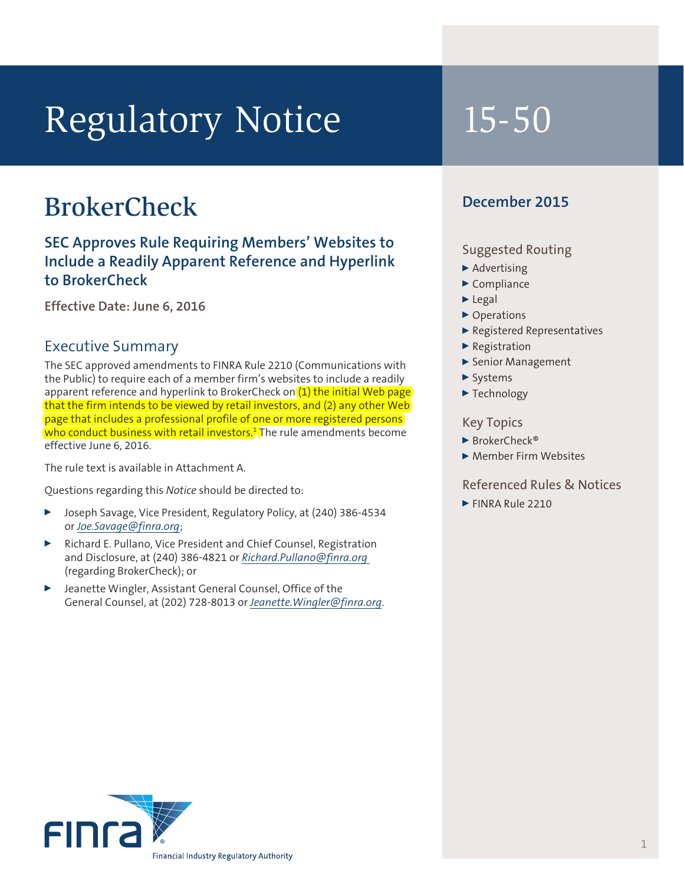# Regulatory Notice 15-50

## **BrokerCheck**

**SEC Approves Rule Requiring Members' Websites to Include a Readily Apparent Reference and Hyperlink to BrokerCheck**

**Effective Date: June 6, 2016**

#### Executive Summary

The SEC approved amendments to FINRA Rule 2210 (Communications with the Public) to require each of a member firm's websites to include a readily apparent reference and hyperlink to BrokerCheck on (1) the initial Web page that the firm intends to be viewed by retail investors, and (2) any other Web page that includes a professional profile of one or more registered persons <mark>who conduct business with retail investors.</mark>] The rule amendments become effective June 6, 2016.

The rule text is available in Attachment A.

Questions regarding this *Notice* should be directed to:

- <sup>0</sup> Joseph Savage, Vice President, Regulatory Policy, at (240) 386-4534 or *Joe.Savage@finra.org*;
- <sup>0</sup> Richard E. Pullano, Vice President and Chief Counsel, Registration and Disclosure, at (240) 386-4821 or *Richard.Pullano@finra.org*  (regarding BrokerCheck); or
- Jeanette Wingler, Assistant General Counsel, Office of the General Counsel, at (202) 728-8013 or *Jeanette.Wingler@finra.org*.

#### **December 2015**

#### Suggested Routing

- $\blacktriangleright$  Advertising
- $\blacktriangleright$  Compliance
- $\blacktriangleright$  Legal
- ▶ Operations
- <sup>0</sup> Registered Representatives
- $\blacktriangleright$  Registration
- ▶ Senior Management
- $\blacktriangleright$  Systems
- $\blacktriangleright$  Technology

#### Key Topics

- ▶ BrokerCheck®
- ▶ Member Firm Websites

#### Referenced Rules & Notices

FINRA Rule 2210

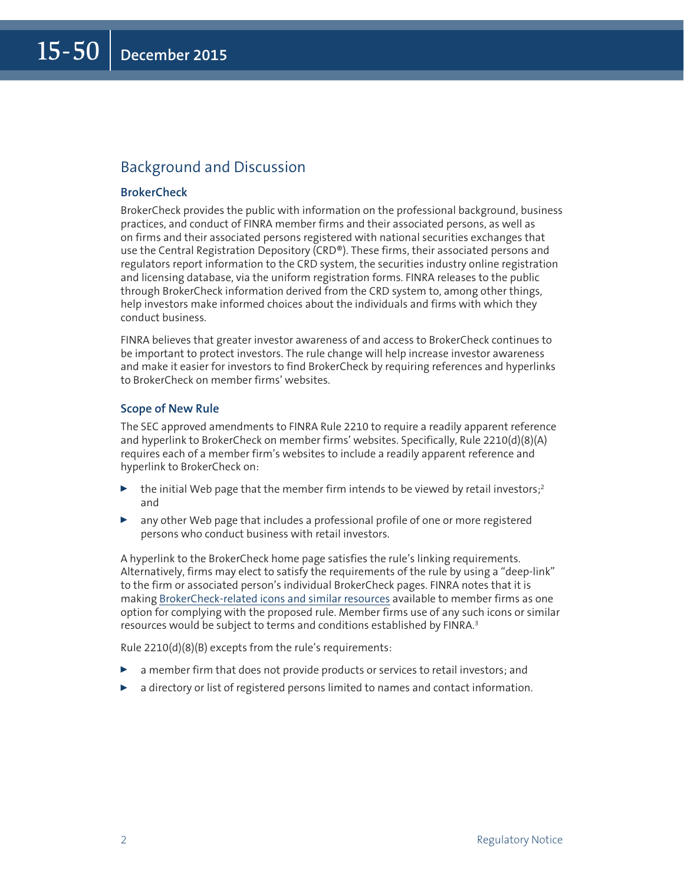### Background and Discussion

#### **BrokerCheck**

BrokerCheck provides the public with information on the professional background, business practices, and conduct of FINRA member firms and their associated persons, as well as on firms and their associated persons registered with national securities exchanges that use the Central Registration Depository (CRD®). These firms, their associated persons and regulators report information to the CRD system, the securities industry online registration and licensing database, via the uniform registration forms. FINRA releases to the public through BrokerCheck information derived from the CRD system to, among other things, help investors make informed choices about the individuals and firms with which they conduct business.

FINRA believes that greater investor awareness of and access to BrokerCheck continues to be important to protect investors. The rule change will help increase investor awareness and make it easier for investors to find BrokerCheck by requiring references and hyperlinks to BrokerCheck on member firms' websites.

#### **Scope of New Rule**

The SEC approved amendments to FINRA Rule 2210 to require a readily apparent reference and hyperlink to BrokerCheck on member firms' websites. Specifically, Rule 2210(d)(8)(A) requires each of a member firm's websites to include a readily apparent reference and hyperlink to BrokerCheck on:

- $\blacktriangleright$  the initial Web page that the member firm intends to be viewed by retail investors;<sup>2</sup> and
- $\triangleright$  any other Web page that includes a professional profile of one or more registered persons who conduct business with retail investors.

A hyperlink to the BrokerCheck home page satisfies the rule's linking requirements. Alternatively, firms may elect to satisfy the requirements of the rule by using a "deep-link" to the firm or associated person's individual BrokerCheck pages. FINRA notes that it is making [BrokerCheck-related icons and similar resources](http://www.finra.org/industry/rule-2210-brokercheck) available to member firms as one option for complying with the proposed rule. Member firms use of any such icons or similar resources would be subject to terms and conditions established by FINRA.<sup>3</sup>

Rule 2210(d)(8)(B) excepts from the rule's requirements:

- $\triangleright$  a member firm that does not provide products or services to retail investors; and
- a directory or list of registered persons limited to names and contact information.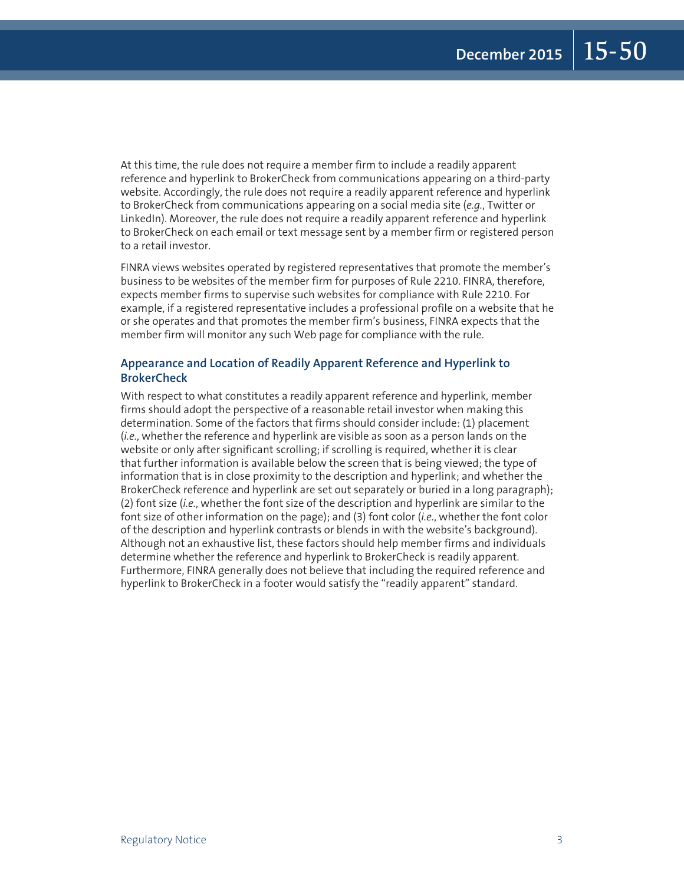At this time, the rule does not require a member firm to include a readily apparent reference and hyperlink to BrokerCheck from communications appearing on a third-party website. Accordingly, the rule does not require a readily apparent reference and hyperlink to BrokerCheck from communications appearing on a social media site (*e.g.*, Twitter or LinkedIn). Moreover, the rule does not require a readily apparent reference and hyperlink to BrokerCheck on each email or text message sent by a member firm or registered person to a retail investor.

FINRA views websites operated by registered representatives that promote the member's business to be websites of the member firm for purposes of Rule 2210. FINRA, therefore, expects member firms to supervise such websites for compliance with Rule 2210. For example, if a registered representative includes a professional profile on a website that he or she operates and that promotes the member firm's business, FINRA expects that the member firm will monitor any such Web page for compliance with the rule.

#### **Appearance and Location of Readily Apparent Reference and Hyperlink to BrokerCheck**

With respect to what constitutes a readily apparent reference and hyperlink, member firms should adopt the perspective of a reasonable retail investor when making this determination. Some of the factors that firms should consider include: (1) placement (*i.e.*, whether the reference and hyperlink are visible as soon as a person lands on the website or only after significant scrolling; if scrolling is required, whether it is clear that further information is available below the screen that is being viewed; the type of information that is in close proximity to the description and hyperlink; and whether the BrokerCheck reference and hyperlink are set out separately or buried in a long paragraph); (2) font size (*i.e.*, whether the font size of the description and hyperlink are similar to the font size of other information on the page); and (3) font color (*i.e.*, whether the font color of the description and hyperlink contrasts or blends in with the website's background). Although not an exhaustive list, these factors should help member firms and individuals determine whether the reference and hyperlink to BrokerCheck is readily apparent. Furthermore, FINRA generally does not believe that including the required reference and hyperlink to BrokerCheck in a footer would satisfy the "readily apparent" standard.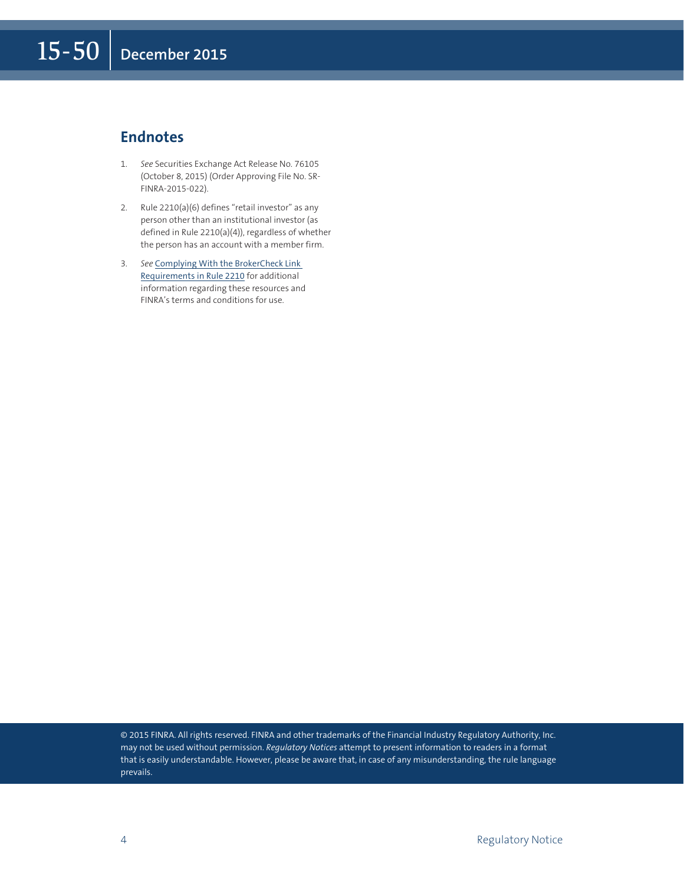#### **Endnotes**

- 1. *See* Securities Exchange Act Release No. 76105 (October 8, 2015) (Order Approving File No. SR-FINRA-2015-022).
- 2. Rule 2210(a)(6) defines "retail investor" as any person other than an institutional investor (as defined in Rule 2210(a)(4)), regardless of whether the person has an account with a member firm.
- 3. *See* [Complying With the BrokerCheck Link](http://www.finra.org/industry/rule-2210-brokercheck)  [Requirements in Rule 2210](http://www.finra.org/industry/rule-2210-brokercheck) for additional information regarding these resources and FINRA's terms and conditions for use.

© 2015 FINRA. All rights reserved. FINRA and other trademarks of the Financial Industry Regulatory Authority, Inc. may not be used without permission. *Regulatory Notices* attempt to present information to readers in a format that is easily understandable. However, please be aware that, in case of any misunderstanding, the rule language prevails.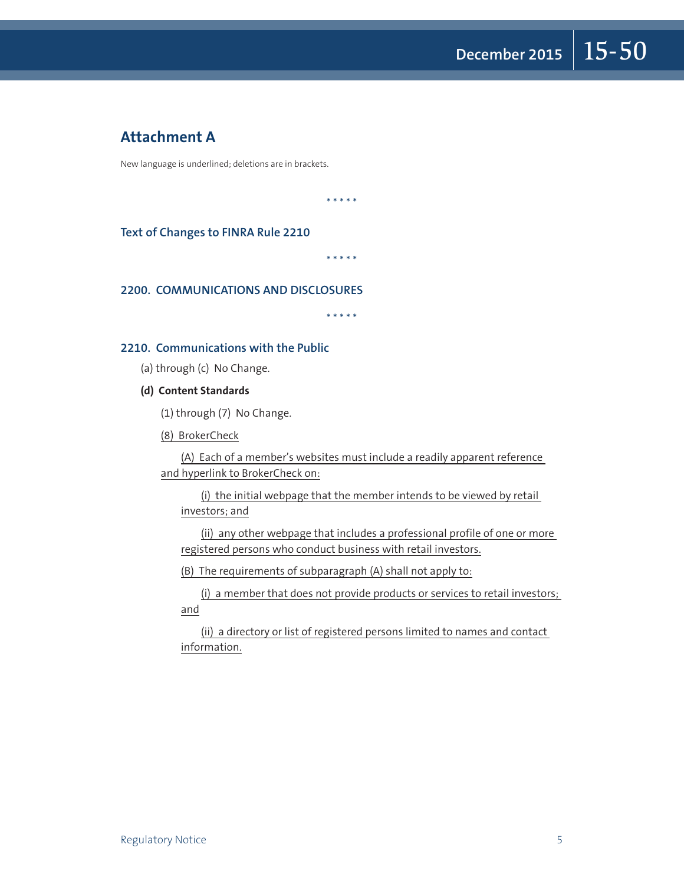#### **Attachment A**

New language is underlined; deletions are in brackets.

\* \* \* \* \*

**Text of Changes to FINRA Rule 2210**

\* \* \* \* \*

#### **2200. COMMUNICATIONS AND DISCLOSURES**

\* \* \* \* \*

#### **2210. Communications with the Public**

(a) through (c) No Change.

**(d) Content Standards**

(1) through (7) No Change.

(8) BrokerCheck

(A) Each of a member's websites must include a readily apparent reference and hyperlink to BrokerCheck on:

(i) the initial webpage that the member intends to be viewed by retail investors; and

(ii) any other webpage that includes a professional profile of one or more registered persons who conduct business with retail investors.

(B) The requirements of subparagraph (A) shall not apply to:

(i) a member that does not provide products or services to retail investors; and

(ii) a directory or list of registered persons limited to names and contact information.